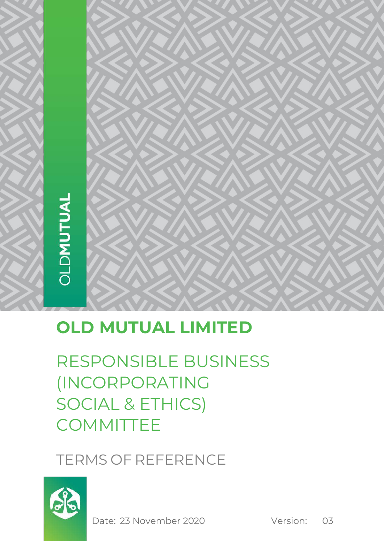# **OLD MUTUAL LIMITED**

RESPONSIBLE BUSINESS (INCORPORATING SOCIAL & ETHICS) **COMMITTEE** 

TERMS OF REFERENCE



Date: 23 November 2020 Version: 03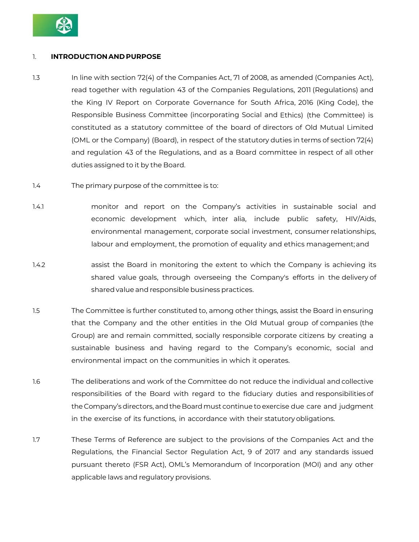

### 1. **INTRODUCTION AND PURPOSE**

- 1.3 In line with section 72(4) of the Companies Act, 71 of 2008, as amended (Companies Act), read together with regulation 43 of the Companies Regulations, 2011 (Regulations) and the King IV Report on Corporate Governance for South Africa, 2016 (King Code), the Responsible Business Committee (incorporating Social and Ethics) (the Committee) is constituted as a statutory committee of the board of directors of Old Mutual Limited (OML or the Company) (Board), in respect of the statutory duties in terms of section 72(4) and regulation 43 of the Regulations, and as a Board committee in respect of all other duties assigned to it by the Board.
- 1.4 The primary purpose of the committee is to:
- 1.4.1 monitor and report on the Company's activities in sustainable social and economic development which, inter alia, include public safety, HIV/Aids, environmental management, corporate social investment, consumer relationships, labour and employment, the promotion of equality and ethics management;and
- 1.4.2 assist the Board in monitoring the extent to which the Company is achieving its shared value goals, through overseeing the Company's efforts in the delivery of sharedvalue and responsible business practices.
- 1.5 The Committee is further constituted to, among other things, assist the Board in ensuring that the Company and the other entities in the Old Mutual group of companies (the Group) are and remain committed, socially responsible corporate citizens by creating a sustainable business and having regard to the Company's economic, social and environmental impact on the communities in which it operates.
- 1.6 The deliberations and work of the Committee do not reduce the individual and collective responsibilities of the Board with regard to the fiduciary duties and responsibilities of the Company's directors, andthe Boardmust continue to exercise due care and judgment in the exercise of its functions, in accordance with their statutory obligations.
- 1.7 These Terms of Reference are subject to the provisions of the Companies Act and the Regulations, the Financial Sector Regulation Act, 9 of 2017 and any standards issued pursuant thereto (FSR Act), OML's Memorandum of Incorporation (MOI) and any other applicable laws and regulatory provisions.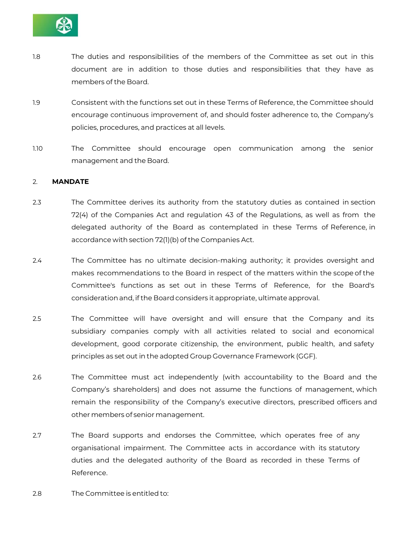

- 1.8 The duties and responsibilities of the members of the Committee as set out in this document are in addition to those duties and responsibilities that they have as members of the Board.
- 1.9 Consistent with the functions set out in these Terms of Reference, the Committee should encourage continuous improvement of, and should foster adherence to, the Company's policies, procedures, and practices at all levels.
- 1.10 The Committee should encourage open communication among the senior management and the Board.

#### 2. **MANDATE**

- 2.3 The Committee derives its authority from the statutory duties as contained in section 72(4) of the Companies Act and regulation 43 of the Regulations, as well as from the delegated authority of the Board as contemplated in these Terms of Reference, in accordance with section 72(1)(b) of the Companies Act.
- 2.4 The Committee has no ultimate decision-making authority; it provides oversight and makes recommendations to the Board in respect of the matters within the scope of the Committee's functions as set out in these Terms of Reference, for the Board's considerationand, if the Board considers it appropriate, ultimate approval.
- 2.5 The Committee will have oversight and will ensure that the Company and its subsidiary companies comply with all activities related to social and economical development, good corporate citizenship, the environment, public health, and safety principles as set out in the adopted Group Governance Framework (GGF).
- 2.6 The Committee must act independently (with accountability to the Board and the Company's shareholders) and does not assume the functions of management, which remain the responsibility of the Company's executive directors, prescribed officers and other members of senior management.
- 2.7 The Board supports and endorses the Committee, which operates free of any organisational impairment. The Committee acts in accordance with its statutory duties and the delegated authority of the Board as recorded in these Terms of Reference.
- 2.8 The Committee is entitled to: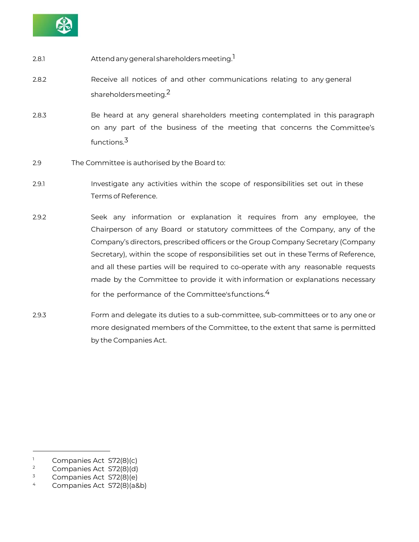

- 2.8.1 Attendanygeneral shareholdersmeeting. 1
- 2.8.2 Receive all notices of and other communications relating to any general shareholders meeting. $2$
- 2.8.3 Be heard at any general shareholders meeting contemplated in this paragraph on any part of the business of the meeting that concerns the Committee's functions.<sup>3</sup>
- 2.9 The Committee is authorised by the Board to:
- 2.9.1 Investigate any activities within the scope of responsibilities set out in these Terms of Reference.
- 2.9.2 Seek any information or explanation it requires from any employee, the Chairperson of any Board or statutory committees of the Company, any of the Company's directors, prescribed officers or the Group Company Secretary (Company Secretary), within the scope of responsibilities set out in these Terms of Reference, and all these parties will be required to co-operate with any reasonable requests made by the Committee to provide it with information or explanations necessary for the performance of the Committee'sfunctions.<sup>4</sup>
- 2.9.3 Form and delegate its duties to a sub-committee, sub-committees or to any one or more designated members of the Committee, to the extent that same is permitted by the Companies Act.

<sup>&</sup>lt;sup>1</sup> Companies Act S72(8)(c)

 $\frac{2}{3}$  Companies Act S72(8)(d)

 $\frac{3}{4}$  Companies Act S72(8)(e)

<sup>4</sup> Companies Act S72(8)(a&b)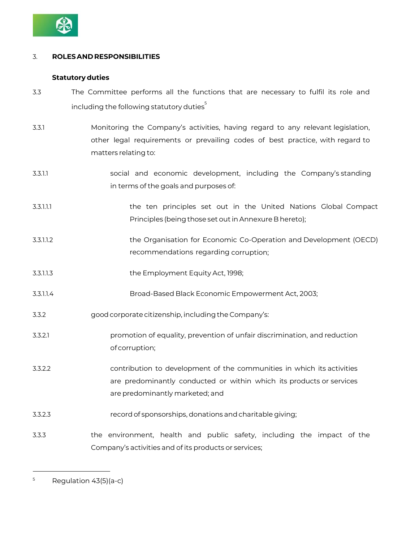

# 3. **ROLESAND RESPONSIBILITIES**

# **Statutory duties**

- 3.3 The Committee performs all the functions that are necessary to fulfil its role and including the following statutory duties<sup>5</sup>
- 3.3.1 Monitoring the Company's activities, having regard to any relevant legislation, other legal requirements or prevailing codes of best practice, with regard to matters relating to:
- 3.3.1.1 social and economic development, including the Company's standing in terms of the goals and purposes of:
- 3.3.1.1.1 the ten principles set out in the United Nations Global Compact Principles (being those set out in Annexure B hereto);
- 3.3.1.1.2 the Organisation for Economic Co-Operation and Development (OECD) recommendations regarding corruption;
- 3.3.1.1.3 the Employment Equity Act, 1998;
- 3.3.1.1.4 Broad-Based Black Economic Empowerment Act, 2003;
- 3.3.2 goodcorporate citizenship, includingthe Company's:
- 3.3.2.1 promotion of equality, prevention of unfair discrimination, and reduction of corruption;
- 3.3.2.2 contribution to development of the communities in which its activities are predominantly conducted or within which its products or services are predominantly marketed; and
- 3.3.2.3 recordof sponsorships, donations andcharitable giving;
- 3.3.3 the environment, health and public safety, including the impact of the Company's activities and of its products or services;

 $5$  Regulation 43(5)(a-c)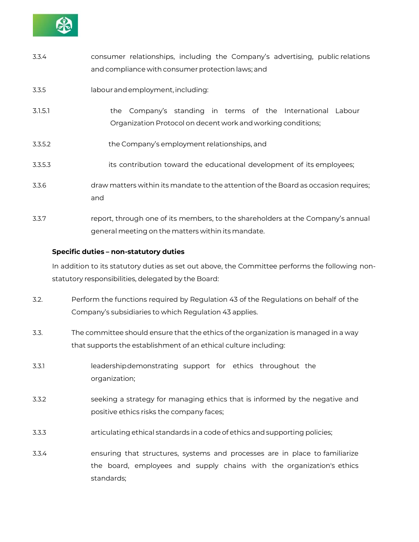

| 3.3.4   | consumer relationships, including the Company's advertising, public relations<br>and compliance with consumer protection laws; and    |
|---------|---------------------------------------------------------------------------------------------------------------------------------------|
| 3.3.5   | labour and employment, including:                                                                                                     |
| 3.1.5.1 | the Company's standing in terms of the International<br>Labour<br>Organization Protocol on decent work and working conditions;        |
| 3.3.5.2 | the Company's employment relationships, and                                                                                           |
| 3.3.5.3 | its contribution toward the educational development of its employees;                                                                 |
| 3.3.6   | draw matters within its mandate to the attention of the Board as occasion requires;<br>and                                            |
| 3.3.7   | report, through one of its members, to the shareholders at the Company's annual<br>general meeting on the matters within its mandate. |

# **Specific duties – non-statutory duties**

In addition to its statutory duties as set out above, the Committee performs the following nonstatutory responsibilities, delegated by the Board:

- 3.2. Perform the functions required by Regulation 43 of the Regulations on behalf of the Company's subsidiaries to which Regulation 43 applies.
- 3.3. The committee should ensure that the ethics of the organization is managed in a way that supports the establishment of an ethical culture including:
- 3.3.1 leadershipdemonstrating support for ethics throughout the organization;
- 3.3.2 seeking a strategy for managing ethics that is informed by the negative and positive ethics risks the company faces;
- 3.3.3 articulating ethical standards ina code of ethics and supporting policies;
- 3.3.4 ensuring that structures, systems and processes are in place to familiarize the board, employees and supply chains with the organization's ethics standards;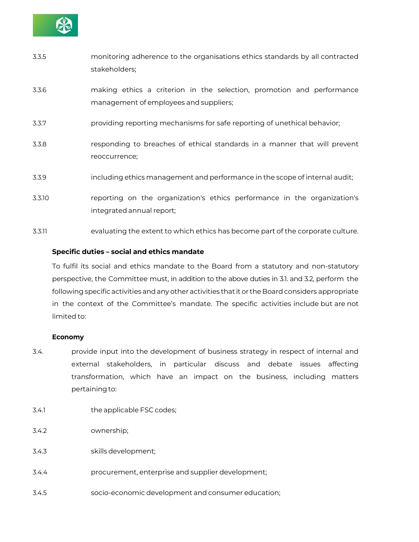

- 3.3.5 monitoring adherence to the organisations ethics standards by all contracted stakeholders;
- 3.3.6 making ethics a criterion in the selection, promotion and performance management of employees and suppliers;
- 3.3.7 providing reporting mechanisms for safe reporting of unethical behavior;
- 3.3.8 responding to breaches of ethical standards in a manner that will prevent reoccurrence;
- 3.3.9 including ethics management and performance in the scope of internal audit;
- 3.3.10 reporting on the organization's ethics performance in the organization's integrated annual report;
- 3.3.11 evaluating the extent to which ethics has become part of the corporate culture.

# **Specific duties – social and ethics mandate**

To fulfil its social and ethics mandate to the Board from a statutory and non-statutory perspective, the Committee must, in addition to the above duties in 3.1. and 3.2, perform the following specific activities and any other activities that it or the Board considers appropriate in the context of the Committee's mandate. The specific activities include but are not limited to:

#### **Economy**

- 3.4. provide input into the development of business strategy in respect of internal and external stakeholders, in particular discuss and debate issues affecting transformation, which have an impact on the business, including matters pertaining to:
- 3.4.1 the applicable FSC codes;
- 3.4.2 ownership;
- 3.4.3 skills development;
- 3.4.4 procurement, enterprise and supplier development;
- 3.4.5 socio-economic development and consumer education;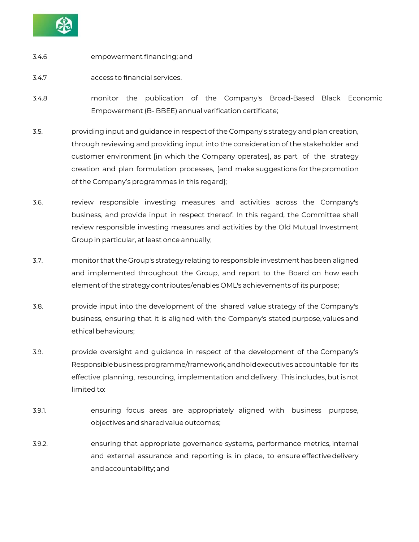

- 3.4.6 empowerment financing; and
- 3.4.7 access to financial services.
- 3.4.8 monitor the publication of the Company's Broad-Based Black Economic Empowerment (B- BBEE) annual verification certificate;
- 3.5. providing input and guidance in respect of the Company's strategy and plan creation, through reviewing and providing input into the consideration of the stakeholder and customer environment [in which the Company operates], as part of the strategy creation and plan formulation processes, [and make suggestions for the promotion of the Company's programmes in this regard];
- 3.6. review responsible investing measures and activities across the Company's business, and provide input in respect thereof. In this regard, the Committee shall review responsible investing measures and activities by the Old Mutual Investment Group in particular, at least once annually;
- 3.7. monitor that the Group's strategy relatingto responsible investment has been aligned and implemented throughout the Group, and report to the Board on how each element of the strategy contributes/enables OML's achievements of itspurpose;
- 3.8. provide input into the development of the shared value strategy of the Company's business, ensuring that it is aligned with the Company's stated purpose, values and ethical behaviours:
- 3.9. provide oversight and guidance in respect of the development of the Company's Responsible business programme/framework, and holdexecutives accountable for its effective planning, resourcing, implementation and delivery. This includes, but is not limited to:
- 3.9.1. ensuring focus areas are appropriately aligned with business purpose, objectives andsharedvalue outcomes;
- 3.9.2. ensuring that appropriate governance systems, performance metrics, internal and external assurance and reporting is in place, to ensure effectivedelivery andaccountability; and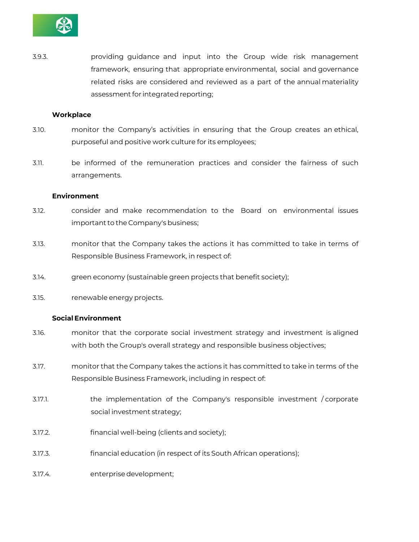

3.9.3. providing guidance and input into the Group wide risk management framework, ensuring that appropriate environmental, social and governance related risks are considered and reviewed as a part of the annual materiality assessment for integrated reporting;

#### **Workplace**

- 3.10. monitor the Company's activities in ensuring that the Group creates an ethical, purposeful and positive work culture for its employees;
- 3.11. be informed of the remuneration practices and consider the fairness of such arrangements.

#### **Environment**

- 3.12. consider and make recommendation to the Board on environmental issues important to the Company's business;
- 3.13. monitor that the Company takes the actions it has committed to take in terms of Responsible Business Framework, in respect of:
- 3.14. green economy (sustainable green projects that benefit society);
- 3.15. renewable energy projects.

#### **Social Environment**

- 3.16. monitor that the corporate social investment strategy and investment is aligned with both the Group's overall strategy and responsible business objectives;
- 3.17. monitor that the Company takes the actions it has committed to take in terms of the Responsible Business Framework, including in respect of:
- 3.17.1. the implementation of the Company's responsible investment / corporate social investment strategy;
- 3.17.2. financial well-being (clients and society);
- 3.17.3. financial education (in respect of its South African operations);
- 3.17.4. enterprisedevelopment;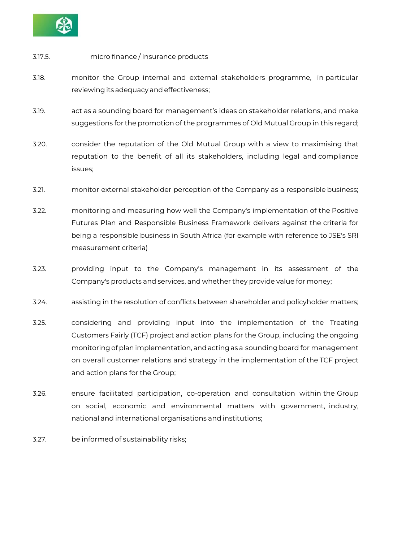

# 3.17.5. micro finance / insurance products

- 3.18. monitor the Group internal and external stakeholders programme, in particular reviewing its adequacy and effectiveness;
- 3.19. act as a sounding board for management's ideas on stakeholder relations, and make suggestions for the promotion of the programmes of Old Mutual Group in this regard;
- 3.20. consider the reputation of the Old Mutual Group with a view to maximising that reputation to the benefit of all its stakeholders, including legal and compliance issues;
- 3.21. monitor external stakeholder perception of the Company as a responsible business;
- 3.22. monitoring and measuring how well the Company's implementation of the Positive Futures Plan and Responsible Business Framework delivers against the criteria for being a responsible business in South Africa (for example with reference to JSE's SRI measurement criteria)
- 3.23. providing input to the Company's management in its assessment of the Company's products and services, and whether they provide value for money;
- 3.24. assisting in the resolution of conflicts between shareholder and policyholder matters;
- 3.25. considering and providing input into the implementation of the Treating Customers Fairly (TCF) project and action plans for the Group, including the ongoing monitoring of plan implementation, and acting as a sounding board for management on overall customer relations and strategy in the implementation of the TCF project and action plans for the Group;
- 3.26. ensure facilitated participation, co-operation and consultation within the Group on social, economic and environmental matters with government, industry, national and international organisations and institutions;
- 3.27. be informed of sustainability risks;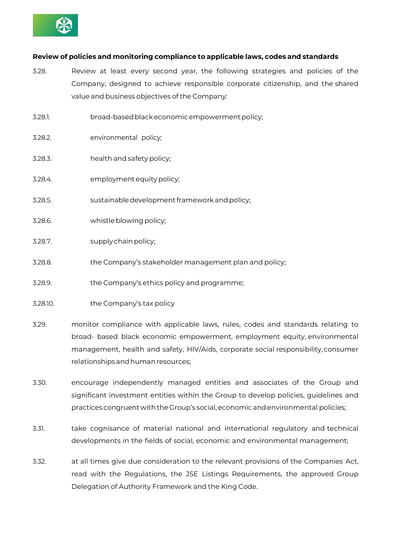

# **Review of policies and monitoring compliance to applicable laws, codes and standards**

- 3.28. Review at least every second year, the following strategies and policies of the Company, designed to achieve responsible corporate citizenship, and the shared value and business objectives of the Company:
- 3.28.1. broad-based black economic empowerment policy;
- 3.28.2. environmental policy;
- 3.28.3. health andsafety policy;
- 3.28.4. employmentequitypolicy;
- 3.28.5. sustainable development framework and policy;
- 3.28.6. whistle blowing policy;
- 3.28.7. supply chain policy;
- 3.28.8. the Company's stakeholder management plan and policy;
- 3.28.9. the Company's ethics policy and programme;
- 3.28.10. the Company's tax policy
- 3.29. monitor compliance with applicable laws, rules, codes and standards relating to broad- based black economic empowerment, employment equity, environmental management, health and safety, HIV/Aids, corporate social responsibility, consumer relationships and human resources;
- 3.30. encourage independently managed entities and associates of the Group and significant investment entities within the Group to develop policies, guidelines and practices congruent withtheGroup's social,economic andenvironmental policies;
- 3.31. take cognisance of material national and international regulatory and technical developments in the fields of social, economic and environmental management;
- 3.32. at all times give due consideration to the relevant provisions of the Companies Act, read with the Regulations, the JSE Listings Requirements, the approved Group Delegation of Authority Framework and the King Code.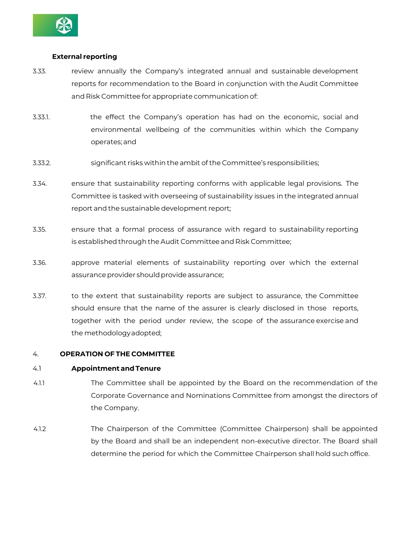

# **External reporting**

- 3.33. review annually the Company's integrated annual and sustainable development reports for recommendation to the Board in conjunction with the Audit Committee and Risk Committee for appropriate communicationof:
- 3.33.1. the effect the Company's operation has had on the economic, social and environmental wellbeing of the communities within which the Company operates; and
- 3.33.2. significant risks withinthe ambit of the Committee's responsibilities;
- 3.34. ensure that sustainability reporting conforms with applicable legal provisions. The Committee is tasked with overseeing of sustainability issues in the integrated annual report and the sustainable development report;
- 3.35. ensure that a formal process of assurance with regard to sustainability reporting is established through the Audit Committee and Risk Committee;
- 3.36. approve material elements of sustainability reporting over which the external assurance provider should provide assurance;
- 3.37. to the extent that sustainability reports are subject to assurance, the Committee should ensure that the name of the assurer is clearly disclosed in those reports, together with the period under review, the scope of the assurance exercise and the methodologyadopted;

# 4. **OPERATION OF THE COMMITTEE**

# 4.1 **Appointment andTenure**

- 4.1.1 The Committee shall be appointed by the Board on the recommendation of the Corporate Governance and Nominations Committee from amongst the directors of the Company.
- 4.1.2 The Chairperson of the Committee (Committee Chairperson) shall be appointed by the Board and shall be an independent non-executive director. The Board shall determine the period for which the Committee Chairperson shall hold such office.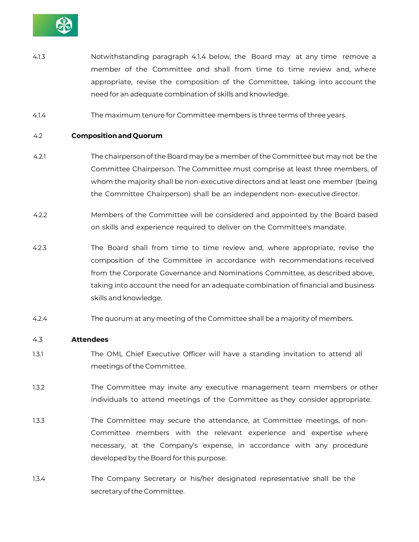

- 4.1.3 Notwithstanding paragraph 4.1.4 below, the Board may at any time remove a member of the Committee and shall from time to time review and, where appropriate, revise the composition of the Committee, taking into account the need for an adequate combination of skills and knowledge.
- 4.1.4 The maximum tenure for Committee members is three terms of three years.

#### 4.2 **CompositionandQuorum**

- 4.2.1 The chairperson of the Board may be a member of the Committee but may not be the Committee Chairperson. The Committee must comprise at least three members, of whom the majority shall be non-executive directors and at least one member (being the Committee Chairperson) shall be an independent non- executivedirector.
- 4.2.2 Members of the Committee will be considered and appointed by the Board based on skills and experience required to deliver on the Committee's mandate.
- 4.2.3 The Board shall from time to time review and, where appropriate, revise the composition of the Committee in accordance with recommendations received from the Corporate Governance and Nominations Committee, as described above, taking into account the need for an adequate combination of financial and business skills and knowledge.
- 4.2.4 The quorum at any meeting of the Committee shall be a majority of members.

#### 4.3 **Attendees**

- 1.3.1 The OML Chief Executive Officer will have a standing invitation to attend all meetings of the Committee.
- 1.3.2 The Committee may invite any executive management team members or other individuals to attend meetings of the Committee as they consider appropriate.
- 1.3.3 The Committee may secure the attendance, at Committee meetings, of non-Committee members with the relevant experience and expertise where necessary, at the Company's expense, in accordance with any procedure developed by the Board for this purpose.
- 1.3.4 The Company Secretary or his/her designated representative shall be the secretary of the Committee.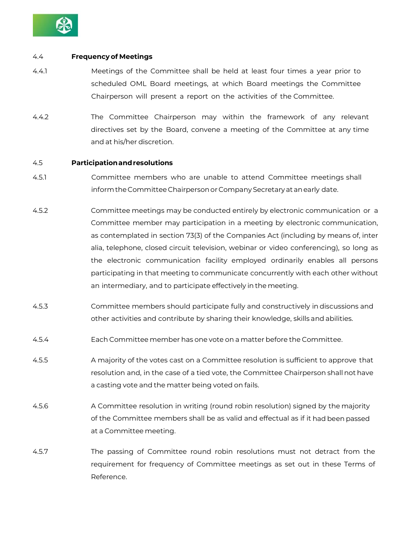

### 4.4 **Frequency of Meetings**

- 4.4.1 Meetings of the Committee shall be held at least four times a year prior to scheduled OML Board meetings, at which Board meetings the Committee Chairperson will present a report on the activities of the Committee.
- 4.4.2 The Committee Chairperson may within the framework of any relevant directives set by the Board, convene a meeting of the Committee at any time and at his/her discretion.

#### 4.5 **Participationandresolutions**

- 4.5.1 Committee members who are unable to attend Committee meetings shall informtheCommittee ChairpersonorCompany Secretary at anearly date.
- 4.5.2 Committee meetings may be conducted entirely by electronic communication or a Committee member may participation in a meeting by electronic communication, as contemplated in section 73(3) of the Companies Act (including by means of, inter alia, telephone, closed circuit television, webinar or video conferencing), so long as the electronic communication facility employed ordinarily enables all persons participating in that meeting to communicate concurrently with each other without an intermediary, and to participate effectively in the meeting.
- 4.5.3 Committee members should participate fully and constructively in discussions and other activities and contribute by sharing their knowledge, skills and abilities.
- 4.5.4 Each Committee member has one vote on a matter before the Committee.
- 4.5.5 A majority of the votes cast on a Committee resolution is sufficient to approve that resolution and, in the case of a tied vote, the Committee Chairperson shall not have a casting vote and the matter being voted on fails.
- 4.5.6 A Committee resolution in writing (round robin resolution) signed by the majority of the Committee members shall be as valid and effectual as if it had been passed at a Committee meeting.
- 4.5.7 The passing of Committee round robin resolutions must not detract from the requirement for frequency of Committee meetings as set out in these Terms of Reference.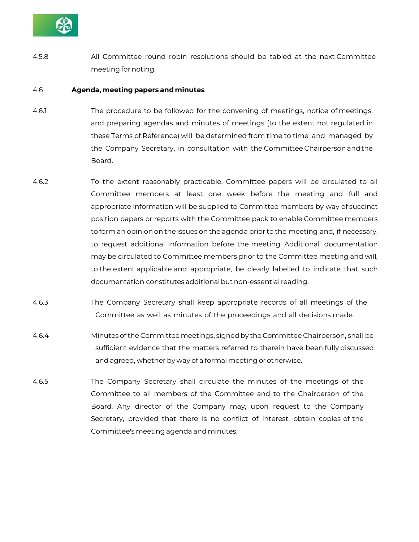

4.5.8 All Committee round robin resolutions should be tabled at the next Committee meeting for noting.

#### 4.6 **Agenda, meeting papers and minutes**

- 4.6.1 The procedure to be followed for the convening of meetings, notice of meetings, and preparing agendas and minutes of meetings (to the extent not regulated in these Terms of Reference) will be determined from time to time and managed by the Company Secretary, in consultation with the Committee Chairpersonandthe Board.
- 4.6.2 To the extent reasonably practicable, Committee papers will be circulated to all Committee members at least one week before the meeting and full and appropriate information will be supplied to Committee members by way of succinct position papers or reports with the Committee pack to enable Committee members to form an opinion on the issues on the agenda prior to the meeting and, if necessary, to request additional information before the meeting. Additional documentation may be circulated to Committee members prior to the Committee meeting and will, to the extent applicable and appropriate, be clearly labelled to indicate that such documentation constitutes additional but non-essential reading.
- 4.6.3 The Company Secretary shall keep appropriate records of all meetings of the Committee as well as minutes of the proceedings and all decisions made.
- 4.6.4 Minutes of the Committee meetings, signed by the Committee Chairperson, shall be sufficient evidence that the matters referred to therein have been fully discussed and agreed, whether by way of a formal meeting or otherwise.
- 4.6.5 The Company Secretary shall circulate the minutes of the meetings of the Committee to all members of the Committee and to the Chairperson of the Board. Any director of the Company may, upon request to the Company Secretary, provided that there is no conflict of interest, obtain copies of the Committee's meeting agenda and minutes.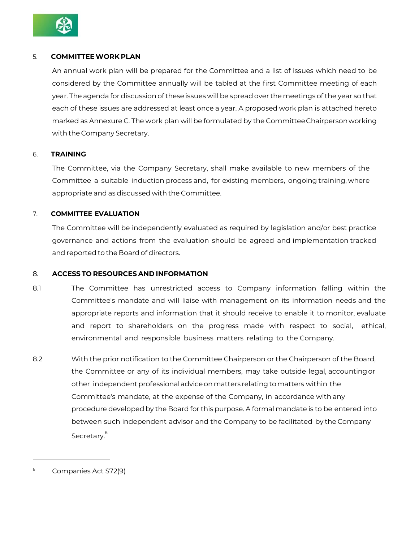

# 5. **COMMITTEEWORK PLAN**

An annual work plan will be prepared for the Committee and a list of issues which need to be considered by the Committee annually will be tabled at the first Committee meeting of each year. The agenda for discussion of these issues will be spread over the meetings of the year so that each of these issues are addressed at least once a year. A proposed work plan is attached hereto marked as Annexure C. The work plan will be formulated by the CommitteeChairpersonworking with the Company Secretary.

# 6. **TRAINING**

The Committee, via the Company Secretary, shall make available to new members of the Committee a suitable induction process and, for existing members, ongoing training, where appropriate and as discussed with the Committee.

# 7. **COMMITTEE EVALUATION**

The Committee will be independently evaluated as required by legislation and/or best practice governance and actions from the evaluation should be agreed and implementation tracked and reported to the Board of directors.

# 8. **ACCESS TO RESOURCES AND INFORMATION**

- 8.1 The Committee has unrestricted access to Company information falling within the Committee's mandate and will liaise with management on its information needs and the appropriate reports and information that it should receive to enable it to monitor, evaluate and report to shareholders on the progress made with respect to social, ethical, environmental and responsible business matters relating to the Company.
- 8.2 With the prior notification to the Committee Chairperson or the Chairperson of the Board, the Committee or any of its individual members, may take outside legal, accountingor other independent professionaladviceonmatters relatingtomatters within the Committee's mandate, at the expense of the Company, in accordance with any procedure developed by the Board for this purpose. A formal mandate is to be entered into between such independent advisor and the Company to be facilitated by the Company Secretary. 6

<sup>6</sup> Companies Act S72(9)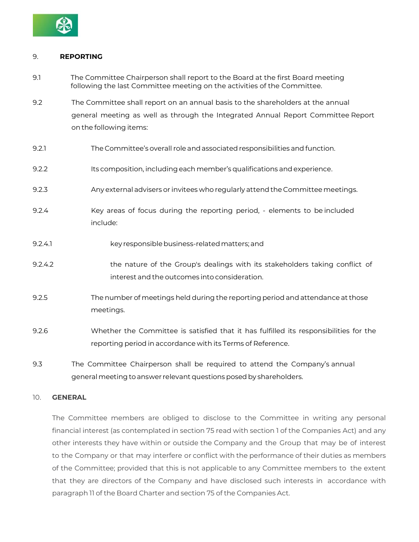

# 9. **REPORTING**

- 9.1 The Committee Chairperson shall report to the Board at the first Board meeting following the last Committee meeting on the activities of the Committee.
- 9.2 The Committee shall report on an annual basis to the shareholders at the annual general meeting as well as through the Integrated Annual Report Committee Report on the following items:
- 9.2.1 The Committee's overall role andassociatedresponsibilities and function.
- 9.2.2 Its composition, includingeach member's qualifications and experience.
- 9.2.3 Any external advisers or invitees who regularly attendthe Committeemeetings.
- 9.2.4 Key areas of focus during the reporting period, elements to be included include:
- 9.2.4.1 key responsible business-related matters; and
- 9.2.4.2 the nature of the Group's dealings with its stakeholders taking conflict of interest and the outcomes into consideration.
- 9.2.5 The number of meetings held during the reporting period andattendance at those meetings.
- 9.2.6 Whether the Committee is satisfied that it has fulfilled its responsibilities for the reporting period in accordance with its Terms of Reference.
- 9.3 The Committee Chairperson shall be required to attend the Company's annual general meeting to answer relevant questions posed by shareholders.

# 10. **GENERAL**

The Committee members are obliged to disclose to the Committee in writing any personal financial interest (as contemplated in section 75 read with section 1 of the Companies Act) and any other interests they have within or outside the Company and the Group that may be of interest to the Company or that may interfere or conflict with the performance of their duties as members of the Committee; provided that this is not applicable to any Committee members to the extent that they are directors of the Company and have disclosed such interests in accordance with paragraph 11 of the Board Charter and section 75 of the Companies Act.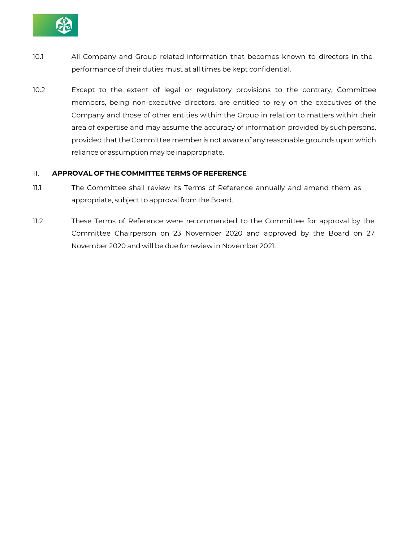

- 10.1 All Company and Group related information that becomes known to directors in the performance of their duties must at all times be kept confidential.
- 10.2 Except to the extent of legal or regulatory provisions to the contrary, Committee members, being non-executive directors, are entitled to rely on the executives of the Company and those of other entities within the Group in relation to matters within their area of expertise and may assume the accuracy of information provided by such persons, provided that the Committee member is not aware of any reasonable grounds upon which reliance or assumption may be inappropriate.

# 11. **APPROVAL OF THE COMMITTEE TERMS OF REFERENCE**

- 11.1 The Committee shall review its Terms of Reference annually and amend them as appropriate, subject to approval from the Board.
- 11.2 These Terms of Reference were recommended to the Committee for approval by the Committee Chairperson on 23 November 2020 and approved by the Board on 27 November 2020 and will be due for review in November 2021.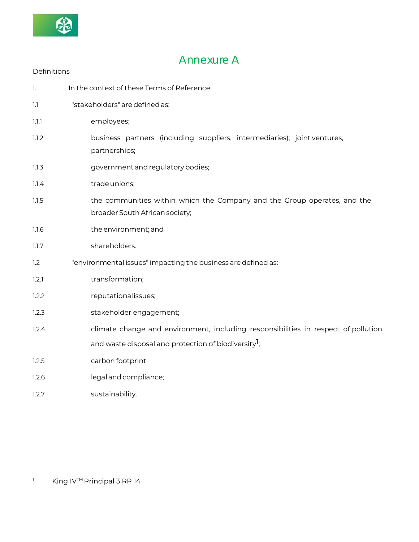

# Annexure A

| Definitions |                                                                                                            |
|-------------|------------------------------------------------------------------------------------------------------------|
| 1.          | In the context of these Terms of Reference:                                                                |
| 1.1         | "stakeholders" are defined as:                                                                             |
| 1.1.1       | employees;                                                                                                 |
| 1.1.2       | business partners (including suppliers, intermediaries); joint ventures,<br>partnerships;                  |
| 1.1.3       | government and regulatory bodies;                                                                          |
| 1.1.4       | trade unions;                                                                                              |
| 1.1.5       | the communities within which the Company and the Group operates, and the<br>broader South African society; |
| 1.1.6       | the environment; and                                                                                       |
| 1.1.7       | shareholders.                                                                                              |
| 1.2         | "environmental issues" impacting the business are defined as:                                              |
| 1.2.1       | transformation;                                                                                            |
| 1.2.2       | reputationalissues;                                                                                        |
| 1.2.3       | stakeholder engagement;                                                                                    |
| 1.2.4       | climate change and environment, including responsibilities in respect of pollution                         |
|             | and waste disposal and protection of biodiversity <sup>1</sup> ;                                           |
| 1.2.5       | carbon footprint                                                                                           |
| 1.2.6       | legal and compliance;                                                                                      |
| 1.2.7       | sustainability.                                                                                            |

 $\frac{1}{1}$  King IV<sup>TM</sup> Principal 3 RP 14